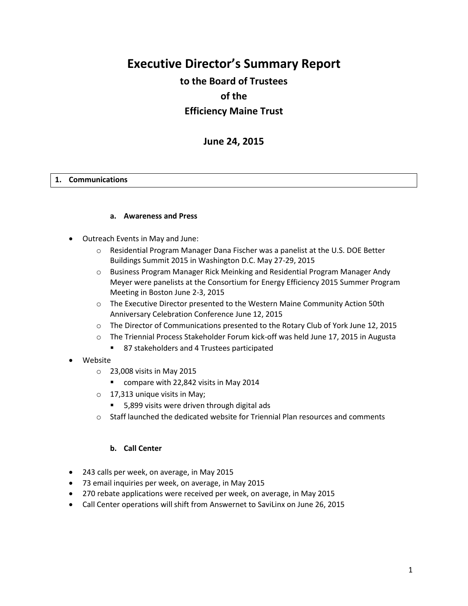# **Executive Director's Summary Report**

# **to the Board of Trustees of the Efficiency Maine Trust**

# **June 24, 2015**

#### **1. Communications**

#### **a. Awareness and Press**

- Outreach Events in May and June:
	- o Residential Program Manager Dana Fischer was a panelist at the U.S. DOE Better Buildings Summit 2015 in Washington D.C. May 27-29, 2015
	- o Business Program Manager Rick Meinking and Residential Program Manager Andy Meyer were panelists at the Consortium for Energy Efficiency 2015 Summer Program Meeting in Boston June 2-3, 2015
	- o The Executive Director presented to the Western Maine Community Action 50th Anniversary Celebration Conference June 12, 2015
	- o The Director of Communications presented to the Rotary Club of York June 12, 2015
	- o The Triennial Process Stakeholder Forum kick-off was held June 17, 2015 in Augusta
		- 87 stakeholders and 4 Trustees participated
- Website
	- o 23,008 visits in May 2015
		- **COMPARE With 22,842 visits in May 2014**
	- $\circ$  17,313 unique visits in May;
		- 5,899 visits were driven through digital ads
	- $\circ$  Staff launched the dedicated website for Triennial Plan resources and comments

#### **b. Call Center**

- 243 calls per week, on average, in May 2015
- 73 email inquiries per week, on average, in May 2015
- 270 rebate applications were received per week, on average, in May 2015
- Call Center operations will shift from Answernet to SaviLinx on June 26, 2015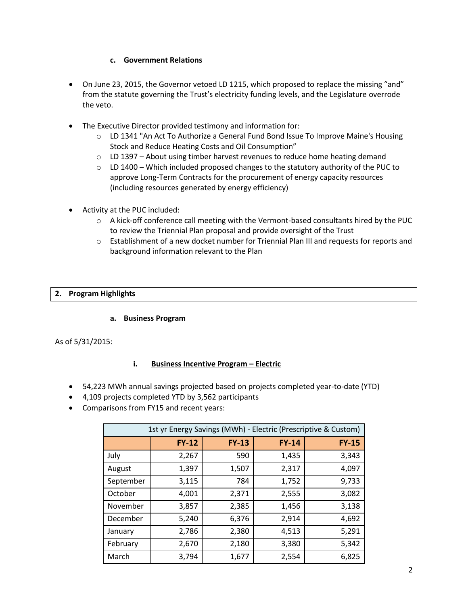## **c. Government Relations**

- On June 23, 2015, the Governor vetoed LD 1215, which proposed to replace the missing "and" from the statute governing the Trust's electricity funding levels, and the Legislature overrode the veto.
- The Executive Director provided testimony and information for:
	- $\circ$  LD 1341 "An Act To Authorize a General Fund Bond Issue To Improve Maine's Housing Stock and Reduce Heating Costs and Oil Consumption"
	- $\circ$  LD 1397 About using timber harvest revenues to reduce home heating demand
	- $\circ$  LD 1400 Which included proposed changes to the statutory authority of the PUC to approve Long-Term Contracts for the procurement of energy capacity resources (including resources generated by energy efficiency)
- Activity at the PUC included:
	- o A kick-off conference call meeting with the Vermont-based consultants hired by the PUC to review the Triennial Plan proposal and provide oversight of the Trust
	- o Establishment of a new docket number for Triennial Plan III and requests for reports and background information relevant to the Plan

#### **2. Program Highlights**

#### **a. Business Program**

As of 5/31/2015:

#### **i. Business Incentive Program – Electric**

- 54,223 MWh annual savings projected based on projects completed year-to-date (YTD)
- 4,109 projects completed YTD by 3,562 participants
- Comparisons from FY15 and recent years:

| 1st yr Energy Savings (MWh) - Electric (Prescriptive & Custom) |              |              |              |              |
|----------------------------------------------------------------|--------------|--------------|--------------|--------------|
|                                                                | <b>FY-12</b> | <b>FY-13</b> | <b>FY-14</b> | <b>FY-15</b> |
| July                                                           | 2,267        | 590          | 1,435        | 3,343        |
| August                                                         | 1,397        | 1,507        | 2,317        | 4,097        |
| September                                                      | 3,115        | 784          | 1,752        | 9,733        |
| October                                                        | 4,001        | 2,371        | 2,555        | 3,082        |
| November                                                       | 3,857        | 2,385        | 1,456        | 3,138        |
| December                                                       | 5,240        | 6,376        | 2,914        | 4,692        |
| January                                                        | 2,786        | 2,380        | 4,513        | 5,291        |
| February                                                       | 2,670        | 2,180        | 3,380        | 5,342        |
| March                                                          | 3,794        | 1,677        | 2,554        | 6,825        |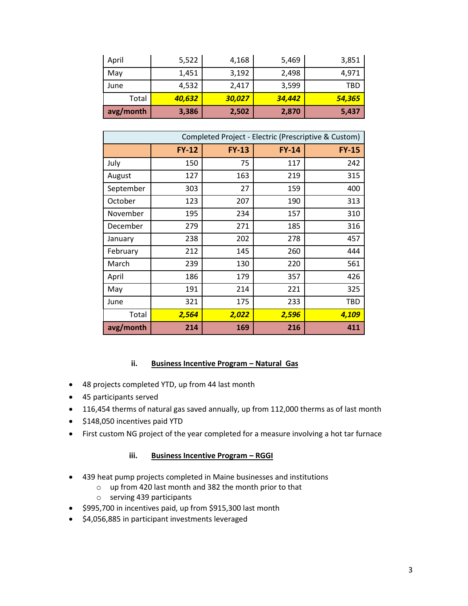| April     | 5,522  | 4,168  | 5,469  | 3,851  |
|-----------|--------|--------|--------|--------|
| May       | 1,451  | 3,192  | 2,498  | 4,971  |
| June      | 4,532  | 2.417  | 3,599  | TBD    |
| Total     | 40,632 | 30,027 | 34,442 | 54,365 |
| avg/month | 3,386  | 2,502  | 2,870  | 5,437  |

| Completed Project - Electric (Prescriptive & Custom) |              |              |         |              |
|------------------------------------------------------|--------------|--------------|---------|--------------|
|                                                      | <b>FY-12</b> | <b>FY-13</b> | $FY-14$ | <b>FY-15</b> |
| July                                                 | 150          | 75           | 117     | 242          |
| August                                               | 127          | 163          | 219     | 315          |
| September                                            | 303          | 27           | 159     | 400          |
| October                                              | 123          | 207          | 190     | 313          |
| November                                             | 195          | 234          | 157     | 310          |
| December                                             | 279          | 271          | 185     | 316          |
| January                                              | 238          | 202          | 278     | 457          |
| February                                             | 212          | 145          | 260     | 444          |
| March                                                | 239          | 130          | 220     | 561          |
| April                                                | 186          | 179          | 357     | 426          |
| May                                                  | 191          | 214          | 221     | 325          |
| June                                                 | 321          | 175          | 233     | <b>TBD</b>   |
| Total                                                | 2,564        | 2,022        | 2,596   | 4,109        |
| avg/month                                            | 214          | 169          | 216     | 411          |

## **ii. Business Incentive Program - Natural Gas**

- 48 projects completed YTD, up from 44 last month
- 45 participants served
- 116,454 therms of natural gas saved annually, up from 112,000 therms as of last month
- $\bullet$  \$148,050 incentives paid YTD
- First custom NG project of the year completed for a measure involving a hot tar furnace

# **iii. Business Incentive Program - RGGI**

- 439 heat pump projects completed in Maine businesses and institutions
	- o up from 420 last month and 382 the month prior to that
	- o serving 439 participants
- $\bullet$  \$995,700 in incentives paid, up from \$915,300 last month
- \$4,056,885 in participant investments leveraged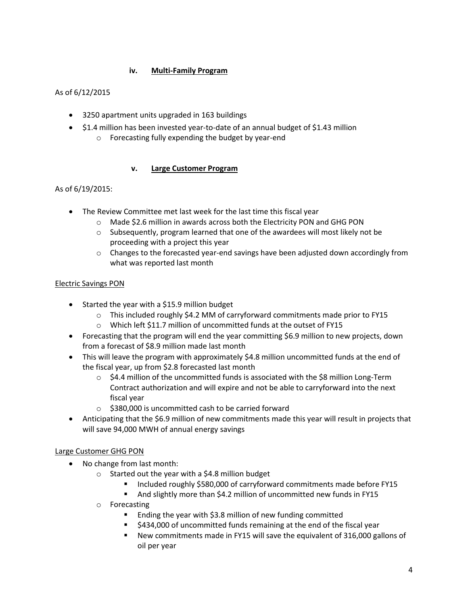# **iv. Multi-Family Program**

# As of 6/12/2015

- 3250 apartment units upgraded in 163 buildings
- \$1.4 million has been invested year-to-date of an annual budget of \$1.43 million
	- o Forecasting fully expending the budget by year-end

# **v. Large Customer Program**

# As of 6/19/2015:

- The Review Committee met last week for the last time this fiscal year
	- o Made \$2.6 million in awards across both the Electricity PON and GHG PON
	- $\circ$  Subsequently, program learned that one of the awardees will most likely not be proceeding with a project this year
	- $\circ$  Changes to the forecasted year-end savings have been adjusted down accordingly from what was reported last month

# Electric Savings PON

- Started the year with a \$15.9 million budget
	- $\circ$  This included roughly \$4.2 MM of carryforward commitments made prior to FY15
	- o Which left \$11.7 million of uncommitted funds at the outset of FY15
- Forecasting that the program will end the year committing \$6.9 million to new projects, down from a forecast of \$8.9 million made last month
- This will leave the program with approximately \$4.8 million uncommitted funds at the end of the fiscal year, up from \$2.8 forecasted last month
	- $\circ$  \$4.4 million of the uncommitted funds is associated with the \$8 million Long-Term Contract authorization and will expire and not be able to carryforward into the next fiscal year
	- o \$380,000 is uncommitted cash to be carried forward
- Anticipating that the \$6.9 million of new commitments made this year will result in projects that will save 94,000 MWH of annual energy savings

# Large Customer GHG PON

- No change from last month:
	- $\circ$  Started out the year with a \$4.8 million budget
		- Included roughly \$580,000 of carryforward commitments made before FY15
		- And slightly more than \$4.2 million of uncommitted new funds in FY15
	- o Forecasting
		- Ending the year with \$3.8 million of new funding committed
		- \$434,000 of uncommitted funds remaining at the end of the fiscal year
		- New commitments made in FY15 will save the equivalent of 316,000 gallons of oil per year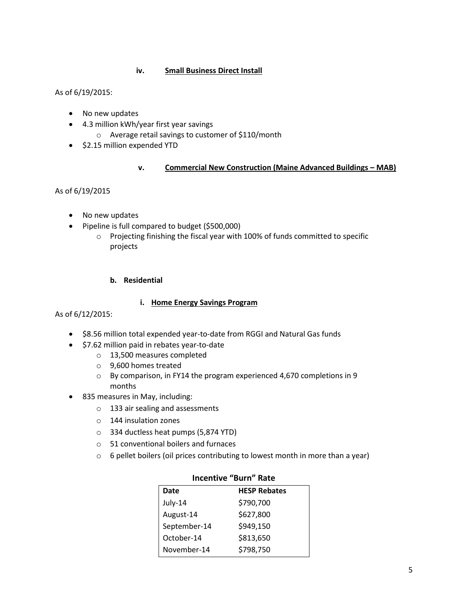## **iv. Small Business Direct Install**

## As of 6/19/2015:

- No new updates
- 4.3 million kWh/year first year savings
	- o Average retail savings to customer of \$110/month
- \$2.15 million expended YTD

# **v. Commercial New Construction (Maine Advanced Buildings - MAB)**

## As of 6/19/2015

- No new updates
- Pipeline is full compared to budget (\$500,000)
	- o Projecting finishing the fiscal year with 100% of funds committed to specific projects

## **b. Residential**

## **i. Home Energy Savings Program**

#### As of 6/12/2015:

- \$8.56 million total expended year-to-date from RGGI and Natural Gas funds
- $\bullet$  \$7.62 million paid in rebates year-to-date
	- o 13,500 measures completed
	- o 9,600 homes treated
	- o By comparison, in FY14 the program experienced 4,670 completions in 9 months
- 835 measures in May, including:
	- o 133 air sealing and assessments
	- o 144 insulation zones
	- o 334 ductless heat pumps (5,874 YTD)
	- o 51 conventional boilers and furnaces
	- o 6 pellet boilers (oil prices contributing to lowest month in more than a year)

| <b>HESP Rebates</b> |
|---------------------|
| \$790,700           |
| \$627,800           |
| \$949,150           |
| \$813,650           |
| \$798,750           |
|                     |

#### **Incentive "Burn" Rate**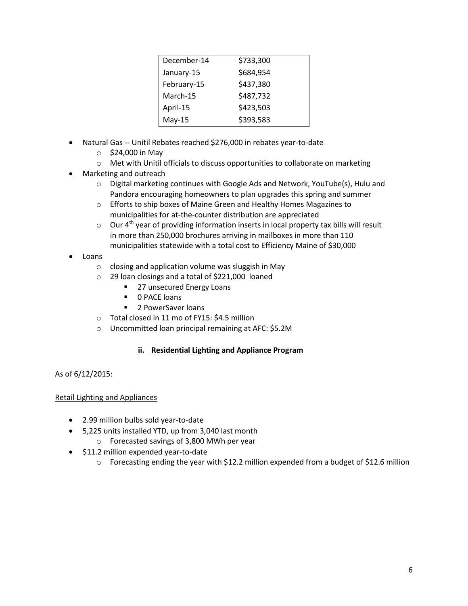| December-14 | \$733,300 |
|-------------|-----------|
| January-15  | \$684,954 |
| February-15 | \$437,380 |
| March-15    | \$487,732 |
| April-15    | \$423,503 |
| $May-15$    | \$393,583 |

- Natural Gas -- Unitil Rebates reached \$276,000 in rebates year-to-date
	- $\circ$  \$24,000 in May
	- o Met with Unitil officials to discuss opportunities to collaborate on marketing
- Marketing and outreach
	- o Digital marketing continues with Google Ads and Network, YouTube(s), Hulu and Pandora encouraging homeowners to plan upgrades this spring and summer
	- o Efforts to ship boxes of Maine Green and Healthy Homes Magazines to municipalities for at-the-counter distribution are appreciated
	- $\circ$  Our 4<sup>th</sup> year of providing information inserts in local property tax bills will result in more than 250,000 brochures arriving in mailboxes in more than 110 municipalities statewide with a total cost to Efficiency Maine of \$30,000
- Loans
	- o closing and application volume was sluggish in May
	- o 29 loan closings and a total of \$221,000 loaned
		- 27 unsecured Energy Loans
		- **0 PACE loans**
		- **2 PowerSaver loans**
	- o Total closed in 11 mo of FY15: \$4.5 million
	- o Uncommitted loan principal remaining at AFC: \$5.2M

# **ii. Residential Lighting and Appliance Program**

As of 6/12/2015:

# Retail Lighting and Appliances

- 2.99 million bulbs sold year-to-date
- 5,225 units installed YTD, up from 3,040 last month
	- o Forecasted savings of 3,800 MWh per year
- $\bullet$  \$11.2 million expended year-to-date
	- o Forecasting ending the year with \$12.2 million expended from a budget of \$12.6 million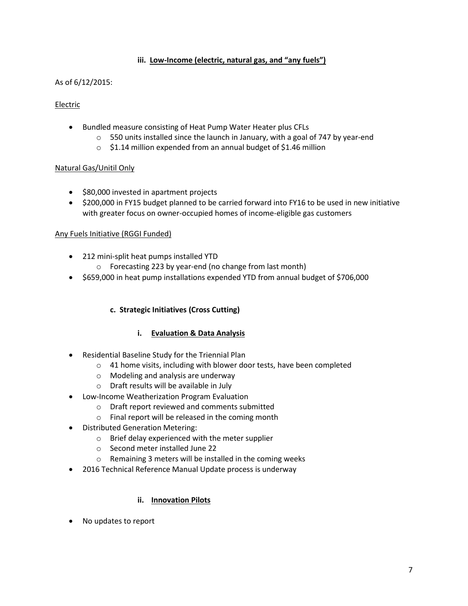## **iii. Low-Income (electric, natural gas, and "any fuels")**

## As of 6/12/2015:

## Electric

- Bundled measure consisting of Heat Pump Water Heater plus CFLs
	- $\circ$  550 units installed since the launch in January, with a goal of 747 by year-end
	- o \$1.14 million expended from an annual budget of \$1.46 million

#### Natural Gas/Unitil Only

- \$80,000 invested in apartment projects
- \$200,000 in FY15 budget planned to be carried forward into FY16 to be used in new initiative with greater focus on owner-occupied homes of income-eligible gas customers

#### Any Fuels Initiative (RGGI Funded)

- 212 mini-split heat pumps installed YTD
	- o Forecasting 223 by year-end (no change from last month)
- \$659,000 in heat pump installations expended YTD from annual budget of \$706,000

# **c. Strategic Initiatives (Cross Cutting)**

# **i. Evaluation & Data Analysis**

- Residential Baseline Study for the Triennial Plan
	- o 41 home visits, including with blower door tests, have been completed
	- o Modeling and analysis are underway
	- o Draft results will be available in July
- Low-Income Weatherization Program Evaluation
	- o Draft report reviewed and comments submitted
	- o Final report will be released in the coming month
- Distributed Generation Metering:
	- o Brief delay experienced with the meter supplier
	- o Second meter installed June 22
	- o Remaining 3 meters will be installed in the coming weeks
- 2016 Technical Reference Manual Update process is underway

#### **ii. Innovation Pilots**

No updates to report